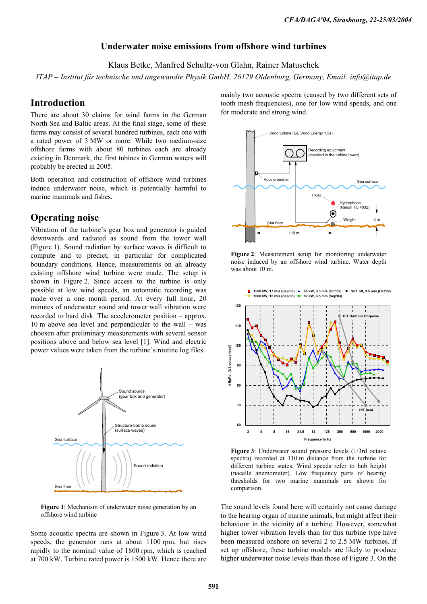# **Underwater noise emissions from offshore wind turbines**

Klaus Betke, Manfred Schultz-von Glahn, Rainer Matuschek

*ITAP – Institut für technische und angewandte Physik GmbH, 26129 Oldenburg, Germany, Email: info@itap.de* 

## **Introduction**

There are about 30 claims for wind farms in the German North Sea and Baltic areas. At the final stage, some of these farms may consist of several hundred turbines, each one with a rated power of 3 MW or more. While two medium-size offshore farms with about 80 turbines each are already existing in Denmark, the first tubines in German waters will probably be erected in 2005.

Both operation and construction of offshore wind turbines induce underwater noise, which is potentially harmful to marine mammals and fishes.

### **Operating noise**

Vibration of the turbine's gear box and generator is guided downwards and radiated as sound from the tower wall (Figure 1). Sound radiation by surface waves is difficult to compute and to predict, in particular for complicated boundary conditions. Hence, measurements on an already existing offshore wind turbine were made. The setup is shown in Figure 2. Since access to the turbine is only possible at low wind speeds, an automatic recording was made over a one month period. At every full hour, 20 minutes of underwater sound and tower wall vibration were recorded to hard disk. The accelerometer position – approx. 10 m above sea level and perpendicular to the wall – was choosen after preliminary measurements with several sensor positions above and below sea level [1]. Wind and electric power values were taken from the turbine's routine log files.



**Figure 1**: Mechanism of underwater noise generation by an offshore wind turbine

Some acoustic spectra are shown in Figure 3. At low wind speeds, the generator runs at about 1100 rpm, but rises rapidly to the nominal value of 1800 rpm, which is reached at 700 kW. Turbine rated power is 1500 kW. Hence there are

mainly two acoustic spectra (caused by two different sets of tooth mesh frequencies), one for low wind speeds, and one for moderate and strong wind.



**Figure 2**: Measurement setup for monitoring underwater noise induced by an offshore wind turbine. Water depth was about 10 m.



**Figure 3**: Underwater sound pressure levels (1/3rd octave spectra) recorded at 110 m distance from the turbine for different turbine states. Wind speeds refer to hub height (nacelle anemometer). Low frequency parts of hearing thresholds for two marine mammals are shown for comparison.

The sound levels found here will certainly not cause damage to the hearing organ of marine animals, but might affect their behaviour in the vicinity of a turbine. However, somewhat higher tower vibration levels than for this turbine type have been measured onshore on several 2 to 2.5 MW turbines. If set up offshore, these turbine models are likely to produce higher underwater noise levels than those of Figure 3. On the